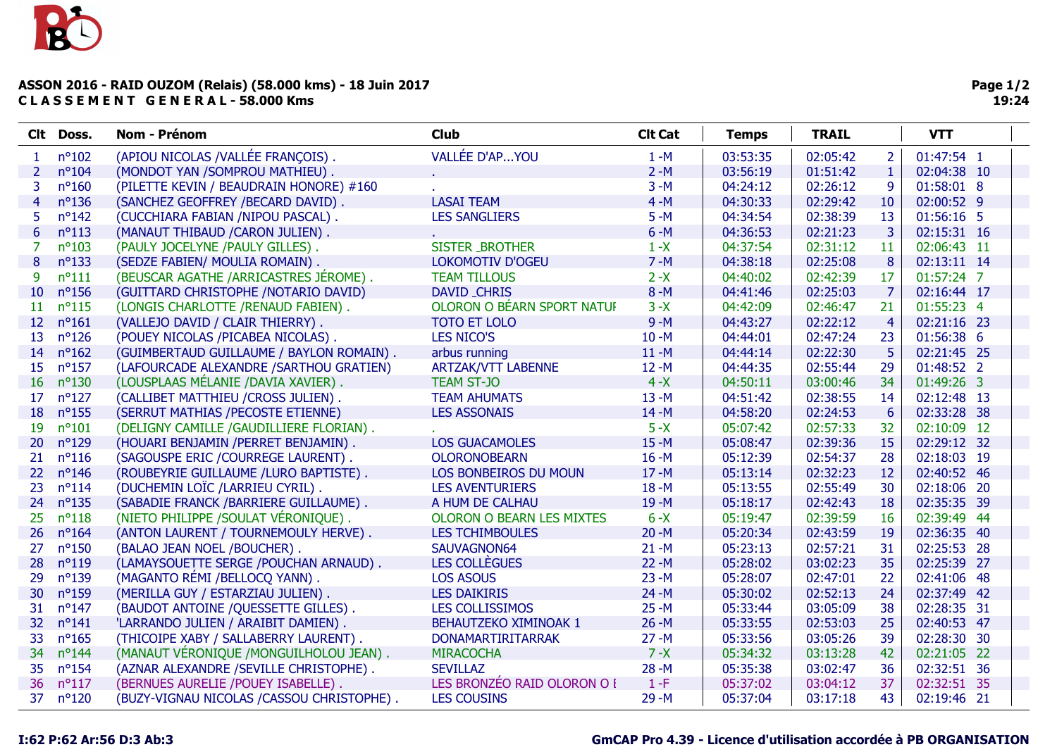## ASSON 2016 - RAID OUZOM (Relais) (58.000 kms) - 18 Juin 2017 C L A S S E M E N T G E N E R A L - 58.000 Kms

|                 | Clt Doss.       | Nom - Prénom                              | <b>Club</b>                      | <b>Clt Cat</b> | <b>Temps</b> | <b>TRAIL</b> |                 | <b>VTT</b>  |  |
|-----------------|-----------------|-------------------------------------------|----------------------------------|----------------|--------------|--------------|-----------------|-------------|--|
| 1               | $n^{\circ}102$  | (APIOU NICOLAS /VALLÉE FRANÇOIS).         | VALLÉE D'APYOU                   | $1 - M$        | 03:53:35     | 02:05:42     | $\overline{2}$  | 01:47:54 1  |  |
| $\overline{2}$  | $n^{\circ}104$  | (MONDOT YAN /SOMPROU MATHIEU).            |                                  | $2 - M$        | 03:56:19     | 01:51:42     | $\mathbf 1$     | 02:04:38 10 |  |
| 3               | $n^{\circ}160$  | (PILETTE KEVIN / BEAUDRAIN HONORE) #160   |                                  | $3 - M$        | 04:24:12     | 02:26:12     | 9               | 01:58:01 8  |  |
| $\overline{4}$  | $n^{\circ}136$  | (SANCHEZ GEOFFREY /BECARD DAVID).         | <b>LASAI TEAM</b>                | $4 - M$        | 04:30:33     | 02:29:42     | 10              | 02:00:52 9  |  |
| 5.              | $n^o$ 142       | (CUCCHIARA FABIAN /NIPOU PASCAL).         | <b>LES SANGLIERS</b>             | $5 - M$        | 04:34:54     | 02:38:39     | 13              | 01:56:16 5  |  |
| 6               | $n^o$ 113       | (MANAUT THIBAUD / CARON JULIEN).          |                                  | $6 - M$        | 04:36:53     | 02:21:23     | 3               | 02:15:31 16 |  |
| 7               | $n^{\circ}103$  | (PAULY JOCELYNE /PAULY GILLES).           | <b>SISTER BROTHER</b>            | $1 - X$        | 04:37:54     | 02:31:12     | 11              | 02:06:43 11 |  |
| 8               | $n^o$ 133       | (SEDZE FABIEN/ MOULIA ROMAIN).            | <b>LOKOMOTIV D'OGEU</b>          | $7 - M$        | 04:38:18     | 02:25:08     | 8               | 02:13:11 14 |  |
| 9               | $n^{\circ}111$  | (BEUSCAR AGATHE /ARRICASTRES JÉROME).     | <b>TEAM TILLOUS</b>              | $2 - X$        | 04:40:02     | 02:42:39     | 17              | 01:57:24 7  |  |
| 10              | $n^{\circ}156$  | (GUITTARD CHRISTOPHE /NOTARIO DAVID)      | DAVID_CHRIS                      | $8 - M$        | 04:41:46     | 02:25:03     | 7               | 02:16:44 17 |  |
| 11              | $n^o$ 115       | (LONGIS CHARLOTTE / RENAUD FABIEN).       | OLORON O BEARN SPORT NATUF       | $3 - X$        | 04:42:09     | 02:46:47     | 21              | 01:55:23 4  |  |
| 12 <sup>2</sup> | $n^{\circ}161$  | (VALLEJO DAVID / CLAIR THIERRY).          | <b>TOTO ET LOLO</b>              | $9 - M$        | 04:43:27     | 02:22:12     | $\overline{4}$  | 02:21:16 23 |  |
| 13              | $n^{\circ}126$  | (POUEY NICOLAS /PICABEA NICOLAS).         | <b>LES NICO'S</b>                | $10 - M$       | 04:44:01     | 02:47:24     | 23              | 01:56:38 6  |  |
| 14              | $n^{\circ}162$  | (GUIMBERTAUD GUILLAUME / BAYLON ROMAIN).  | arbus running                    | $11 - M$       | 04:44:14     | 02:22:30     | 5               | 02:21:45 25 |  |
| 15              | $n^{\circ}157$  | (LAFOURCADE ALEXANDRE / SARTHOU GRATIEN)  | <b>ARTZAK/VTT LABENNE</b>        | $12 - M$       | 04:44:35     | 02:55:44     | 29              | 01:48:52 2  |  |
| 16              | $n^{\circ}130$  | (LOUSPLAAS MÉLANIE /DAVIA XAVIER).        | <b>TEAM ST-JO</b>                | $4 - X$        | 04:50:11     | 03:00:46     | 34              | 01:49:26 3  |  |
| 17              | $n^{\circ}127$  | (CALLIBET MATTHIEU /CROSS JULIEN).        | <b>TEAM AHUMATS</b>              | $13 - M$       | 04:51:42     | 02:38:55     | 14              | 02:12:48 13 |  |
| 18              | $n^{\circ}$ 155 | (SERRUT MATHIAS / PECOSTE ETIENNE)        | <b>LES ASSONAIS</b>              | $14 - M$       | 04:58:20     | 02:24:53     | $6\phantom{1}6$ | 02:33:28 38 |  |
| 19              | $n^{\circ}101$  | (DELIGNY CAMILLE /GAUDILLIERE FLORIAN).   |                                  | $5 - X$        | 05:07:42     | 02:57:33     | 32              | 02:10:09 12 |  |
| <b>20</b>       | $n^{\circ}129$  | (HOUARI BENJAMIN / PERRET BENJAMIN).      | <b>LOS GUACAMOLES</b>            | $15 - M$       | 05:08:47     | 02:39:36     | 15              | 02:29:12 32 |  |
| 21              | $n^o$ 116       | (SAGOUSPE ERIC / COURREGE LAURENT).       | <b>OLORONOBEARN</b>              | $16 - M$       | 05:12:39     | 02:54:37     | 28              | 02:18:03 19 |  |
| 22              | $n^{\circ}$ 146 | (ROUBEYRIE GUILLAUME /LURO BAPTISTE).     | LOS BONBEIROS DU MOUN            | $17 - M$       | 05:13:14     | 02:32:23     | 12              | 02:40:52 46 |  |
| 23              | $n^{\circ}114$  | (DUCHEMIN LOÏC /LARRIEU CYRIL).           | <b>LES AVENTURIERS</b>           | $18 - M$       | 05:13:55     | 02:55:49     | 30              | 02:18:06 20 |  |
| 24              | $n^{\circ}135$  | (SABADIE FRANCK / BARRIERE GUILLAUME).    | A HUM DE CALHAU                  | $19 - M$       | 05:18:17     | 02:42:43     | 18              | 02:35:35 39 |  |
| 25              | $n^o118$        | (NIETO PHILIPPE / SOULAT VÉRONIQUE).      | <b>OLORON O BEARN LES MIXTES</b> | $6 - X$        | 05:19:47     | 02:39:59     | 16              | 02:39:49 44 |  |
| 26              | $n^{\circ}164$  | (ANTON LAURENT / TOURNEMOULY HERVE).      | <b>LES TCHIMBOULES</b>           | $20 - M$       | 05:20:34     | 02:43:59     | 19              | 02:36:35 40 |  |
| 27              | $n^{\circ}150$  | (BALAO JEAN NOEL /BOUCHER).               | SAUVAGNON64                      | $21 - M$       | 05:23:13     | 02:57:21     | 31              | 02:25:53 28 |  |
| 28              | $n^o119$        | (LAMAYSOUETTE SERGE /POUCHAN ARNAUD).     | <b>LES COLLÈGUES</b>             | $22 - M$       | 05:28:02     | 03:02:23     | 35              | 02:25:39 27 |  |
| 29              | $n^o$ 139       | (MAGANTO RÉMI /BELLOCQ YANN).             | <b>LOS ASOUS</b>                 | $23 - M$       | 05:28:07     | 02:47:01     | 22              | 02:41:06 48 |  |
| 30              | $n^{\circ}159$  | (MERILLA GUY / ESTARZIAU JULIEN).         | <b>LES DAIKIRIS</b>              | $24 - M$       | 05:30:02     | 02:52:13     | 24              | 02:37:49 42 |  |
| 31              | $n^o$ 147       | (BAUDOT ANTOINE / QUESSETTE GILLES).      | <b>LES COLLISSIMOS</b>           | $25 - M$       | 05:33:44     | 03:05:09     | 38              | 02:28:35 31 |  |
| 32              | $n^{\circ}141$  | 'LARRANDO JULIEN / ARAIBIT DAMIEN)        | <b>BEHAUTZEKO XIMINOAK 1</b>     | $26 - M$       | 05:33:55     | 02:53:03     | 25              | 02:40:53 47 |  |
| 33              | $n^{\circ}165$  | (THICOIPE XABY / SALLABERRY LAURENT).     | <b>DONAMARTIRITARRAK</b>         | $27 - M$       | 05:33:56     | 03:05:26     | 39              | 02:28:30 30 |  |
| 34              | $n^{\circ}$ 144 | (MANAUT VÉRONIQUE /MONGUILHOLOU JEAN).    | <b>MIRACOCHA</b>                 | $7 - X$        | 05:34:32     | 03:13:28     | 42              | 02:21:05 22 |  |
| 35              | $n^{\circ}154$  | (AZNAR ALEXANDRE / SEVILLE CHRISTOPHE).   | <b>SEVILLAZ</b>                  | $28 - M$       | 05:35:38     | 03:02:47     | 36              | 02:32:51 36 |  |
| 36              | $n^{\circ}117$  | (BERNUES AURELIE /POUEY ISABELLE).        | LES BRONZÉO RAID OLORON O I      | $1-F$          | 05:37:02     | 03:04:12     | 37              | 02:32:51 35 |  |
| 37              | $n^{\circ}120$  | (BUZY-VIGNAU NICOLAS /CASSOU CHRISTOPHE). | <b>LES COUSINS</b>               | $29 - M$       | 05:37:04     | 03:17:18     | 43              | 02:19:46 21 |  |

## I:62 P:62 Ar:56 D:3 Ab:3 GmCAP Pro 4.39 - Licence d'utilisation accordée à PB ORGANISATION